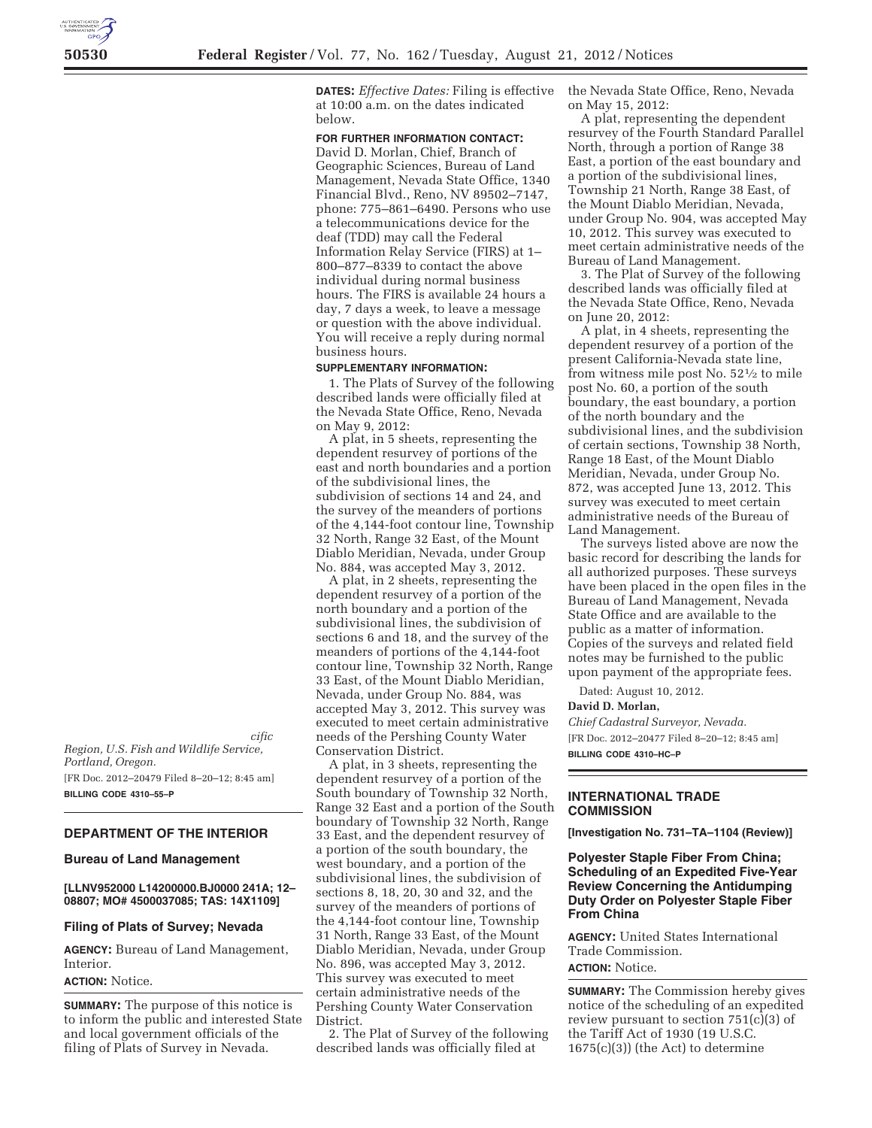*Acting Deputy Regional Director, Pacific Region, U.S. Fish and Wildlife Service,* 

*Portland, Oregon.*  [FR Doc. 2012–20479 Filed 8–20–12; 8:45 am] **BILLING CODE 4310–55–P** 

# **DEPARTMENT OF THE INTERIOR**

### **Bureau of Land Management**

**[LLNV952000 L14200000.BJ0000 241A; 12– 08807; MO# 4500037085; TAS: 14X1109]** 

#### **Filing of Plats of Survey; Nevada**

**AGENCY:** Bureau of Land Management, Interior.

#### **ACTION:** Notice.

**SUMMARY:** The purpose of this notice is to inform the public and interested State and local government officials of the filing of Plats of Survey in Nevada.

**DATES:** *Effective Dates:* Filing is effective at 10:00 a.m. on the dates indicated below.

### **FOR FURTHER INFORMATION CONTACT:**

David D. Morlan, Chief, Branch of Geographic Sciences, Bureau of Land Management, Nevada State Office, 1340 Financial Blvd., Reno, NV 89502–7147, phone: 775–861–6490. Persons who use a telecommunications device for the deaf (TDD) may call the Federal Information Relay Service (FIRS) at 1– 800–877–8339 to contact the above individual during normal business hours. The FIRS is available 24 hours a day, 7 days a week, to leave a message or question with the above individual. You will receive a reply during normal business hours.

#### **SUPPLEMENTARY INFORMATION:**

1. The Plats of Survey of the following described lands were officially filed at the Nevada State Office, Reno, Nevada on May 9, 2012:

A plat, in 5 sheets, representing the dependent resurvey of portions of the east and north boundaries and a portion of the subdivisional lines, the subdivision of sections 14 and 24, and the survey of the meanders of portions of the 4,144-foot contour line, Township 32 North, Range 32 East, of the Mount Diablo Meridian, Nevada, under Group No. 884, was accepted May 3, 2012.

A plat, in 2 sheets, representing the dependent resurvey of a portion of the north boundary and a portion of the subdivisional lines, the subdivision of sections 6 and 18, and the survey of the meanders of portions of the 4,144-foot contour line, Township 32 North, Range 33 East, of the Mount Diablo Meridian, Nevada, under Group No. 884, was accepted May 3, 2012. This survey was executed to meet certain administrative needs of the Pershing County Water Conservation District.

A plat, in 3 sheets, representing the dependent resurvey of a portion of the South boundary of Township 32 North, Range 32 East and a portion of the South boundary of Township 32 North, Range 33 East, and the dependent resurvey of a portion of the south boundary, the west boundary, and a portion of the subdivisional lines, the subdivision of sections 8, 18, 20, 30 and 32, and the survey of the meanders of portions of the 4,144-foot contour line, Township 31 North, Range 33 East, of the Mount Diablo Meridian, Nevada, under Group No. 896, was accepted May 3, 2012. This survey was executed to meet certain administrative needs of the Pershing County Water Conservation District.

2. The Plat of Survey of the following described lands was officially filed at

the Nevada State Office, Reno, Nevada on May 15, 2012:

A plat, representing the dependent resurvey of the Fourth Standard Parallel North, through a portion of Range 38 East, a portion of the east boundary and a portion of the subdivisional lines, Township 21 North, Range 38 East, of the Mount Diablo Meridian, Nevada, under Group No. 904, was accepted May 10, 2012. This survey was executed to meet certain administrative needs of the Bureau of Land Management.

3. The Plat of Survey of the following described lands was officially filed at the Nevada State Office, Reno, Nevada on June 20, 2012:

A plat, in 4 sheets, representing the dependent resurvey of a portion of the present California-Nevada state line, from witness mile post No.  $52\frac{1}{2}$  to mile post No. 60, a portion of the south boundary, the east boundary, a portion of the north boundary and the subdivisional lines, and the subdivision of certain sections, Township 38 North, Range 18 East, of the Mount Diablo Meridian, Nevada, under Group No. 872, was accepted June 13, 2012. This survey was executed to meet certain administrative needs of the Bureau of Land Management.

The surveys listed above are now the basic record for describing the lands for all authorized purposes. These surveys have been placed in the open files in the Bureau of Land Management, Nevada State Office and are available to the public as a matter of information. Copies of the surveys and related field notes may be furnished to the public upon payment of the appropriate fees.

Dated: August 10, 2012.

#### **David D. Morlan,**

*Chief Cadastral Surveyor, Nevada.*  [FR Doc. 2012–20477 Filed 8–20–12; 8:45 am] **BILLING CODE 4310–HC–P** 

# **INTERNATIONAL TRADE COMMISSION**

**[Investigation No. 731–TA–1104 (Review)]** 

# **Polyester Staple Fiber From China; Scheduling of an Expedited Five-Year Review Concerning the Antidumping Duty Order on Polyester Staple Fiber From China**

**AGENCY:** United States International Trade Commission.

# **ACTION:** Notice.

**SUMMARY:** The Commission hereby gives notice of the scheduling of an expedited review pursuant to section 751(c)(3) of the Tariff Act of 1930 (19 U.S.C. 1675(c)(3)) (the Act) to determine